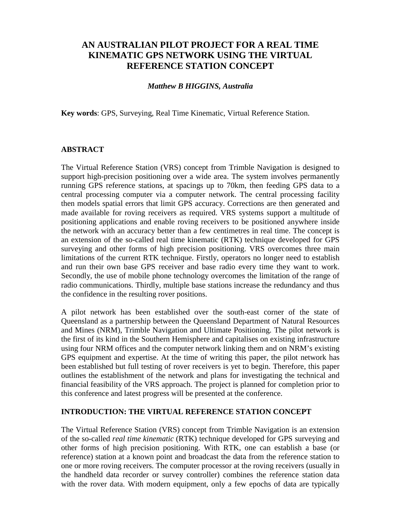# **AN AUSTRALIAN PILOT PROJECT FOR A REAL TIME KINEMATIC GPS NETWORK USING THE VIRTUAL REFERENCE STATION CONCEPT**

#### *Matthew B HIGGINS, Australia*

**Key words**: GPS, Surveying, Real Time Kinematic, Virtual Reference Station.

#### **ABSTRACT**

The Virtual Reference Station (VRS) concept from Trimble Navigation is designed to support high-precision positioning over a wide area. The system involves permanently running GPS reference stations, at spacings up to 70km, then feeding GPS data to a central processing computer via a computer network. The central processing facility then models spatial errors that limit GPS accuracy. Corrections are then generated and made available for roving receivers as required. VRS systems support a multitude of positioning applications and enable roving receivers to be positioned anywhere inside the network with an accuracy better than a few centimetres in real time. The concept is an extension of the so-called real time kinematic (RTK) technique developed for GPS surveying and other forms of high precision positioning. VRS overcomes three main limitations of the current RTK technique. Firstly, operators no longer need to establish and run their own base GPS receiver and base radio every time they want to work. Secondly, the use of mobile phone technology overcomes the limitation of the range of radio communications. Thirdly, multiple base stations increase the redundancy and thus the confidence in the resulting rover positions.

A pilot network has been established over the south-east corner of the state of Queensland as a partnership between the Queensland Department of Natural Resources and Mines (NRM), Trimble Navigation and Ultimate Positioning. The pilot network is the first of its kind in the Southern Hemisphere and capitalises on existing infrastructure using four NRM offices and the computer network linking them and on NRM's existing GPS equipment and expertise. At the time of writing this paper, the pilot network has been established but full testing of rover receivers is yet to begin. Therefore, this paper outlines the establishment of the network and plans for investigating the technical and financial feasibility of the VRS approach. The project is planned for completion prior to this conference and latest progress will be presented at the conference.

#### **INTRODUCTION: THE VIRTUAL REFERENCE STATION CONCEPT**

The Virtual Reference Station (VRS) concept from Trimble Navigation is an extension of the so-called *real time kinematic* (RTK) technique developed for GPS surveying and other forms of high precision positioning. With RTK, one can establish a base (or reference) station at a known point and broadcast the data from the reference station to one or more roving receivers. The computer processor at the roving receivers (usually in the handheld data recorder or survey controller) combines the reference station data with the rover data. With modern equipment, only a few epochs of data are typically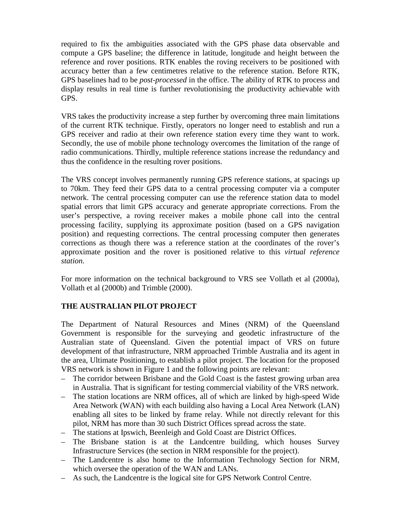required to fix the ambiguities associated with the GPS phase data observable and compute a GPS baseline; the difference in latitude, longitude and height between the reference and rover positions. RTK enables the roving receivers to be positioned with accuracy better than a few centimetres relative to the reference station. Before RTK, GPS baselines had to be *post-processed* in the office. The ability of RTK to process and display results in real time is further revolutionising the productivity achievable with GPS.

VRS takes the productivity increase a step further by overcoming three main limitations of the current RTK technique. Firstly, operators no longer need to establish and run a GPS receiver and radio at their own reference station every time they want to work. Secondly, the use of mobile phone technology overcomes the limitation of the range of radio communications. Thirdly, multiple reference stations increase the redundancy and thus the confidence in the resulting rover positions.

The VRS concept involves permanently running GPS reference stations, at spacings up to 70km. They feed their GPS data to a central processing computer via a computer network. The central processing computer can use the reference station data to model spatial errors that limit GPS accuracy and generate appropriate corrections. From the user's perspective, a roving receiver makes a mobile phone call into the central processing facility, supplying its approximate position (based on a GPS navigation position) and requesting corrections. The central processing computer then generates corrections as though there was a reference station at the coordinates of the rover's approximate position and the rover is positioned relative to this *virtual reference station*.

For more information on the technical background to VRS see Vollath et al (2000a), Vollath et al (2000b) and Trimble (2000).

### **THE AUSTRALIAN PILOT PROJECT**

The Department of Natural Resources and Mines (NRM) of the Queensland Government is responsible for the surveying and geodetic infrastructure of the Australian state of Queensland. Given the potential impact of VRS on future development of that infrastructure, NRM approached Trimble Australia and its agent in the area, Ultimate Positioning, to establish a pilot project. The location for the proposed VRS network is shown in Figure 1 and the following points are relevant:

- The corridor between Brisbane and the Gold Coast is the fastest growing urban area in Australia. That is significant for testing commercial viability of the VRS network.
- The station locations are NRM offices, all of which are linked by high-speed Wide Area Network (WAN) with each building also having a Local Area Network (LAN) enabling all sites to be linked by frame relay. While not directly relevant for this pilot, NRM has more than 30 such District Offices spread across the state.
- The stations at Ipswich, Beenleigh and Gold Coast are District Offices.
- The Brisbane station is at the Landcentre building, which houses Survey Infrastructure Services (the section in NRM responsible for the project).
- The Landcentre is also home to the Information Technology Section for NRM, which oversee the operation of the WAN and LANs.
- As such, the Landcentre is the logical site for GPS Network Control Centre.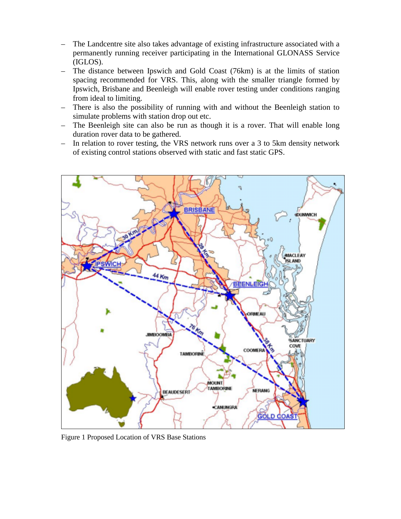- The Landcentre site also takes advantage of existing infrastructure associated with a permanently running receiver participating in the International GLONASS Service (IGLOS).
- The distance between Ipswich and Gold Coast (76km) is at the limits of station spacing recommended for VRS. This, along with the smaller triangle formed by Ipswich, Brisbane and Beenleigh will enable rover testing under conditions ranging from ideal to limiting.
- There is also the possibility of running with and without the Beenleigh station to simulate problems with station drop out etc.
- The Beenleigh site can also be run as though it is a rover. That will enable long duration rover data to be gathered.
- In relation to rover testing, the VRS network runs over a 3 to 5km density network of existing control stations observed with static and fast static GPS.



Figure 1 Proposed Location of VRS Base Stations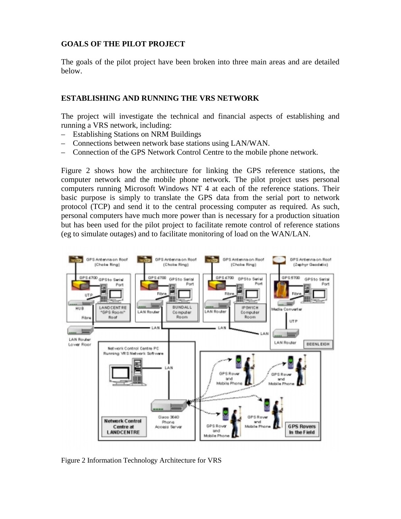### **GOALS OF THE PILOT PROJECT**

The goals of the pilot project have been broken into three main areas and are detailed below.

#### **ESTABLISHING AND RUNNING THE VRS NETWORK**

The project will investigate the technical and financial aspects of establishing and running a VRS network, including:

- Establishing Stations on NRM Buildings
- Connections between network base stations using LAN/WAN.
- Connection of the GPS Network Control Centre to the mobile phone network.

Figure 2 shows how the architecture for linking the GPS reference stations, the computer network and the mobile phone network. The pilot project uses personal computers running Microsoft Windows NT 4 at each of the reference stations. Their basic purpose is simply to translate the GPS data from the serial port to network protocol (TCP) and send it to the central processing computer as required. As such, personal computers have much more power than is necessary for a production situation but has been used for the pilot project to facilitate remote control of reference stations (eg to simulate outages) and to facilitate monitoring of load on the WAN/LAN.



Figure 2 Information Technology Architecture for VRS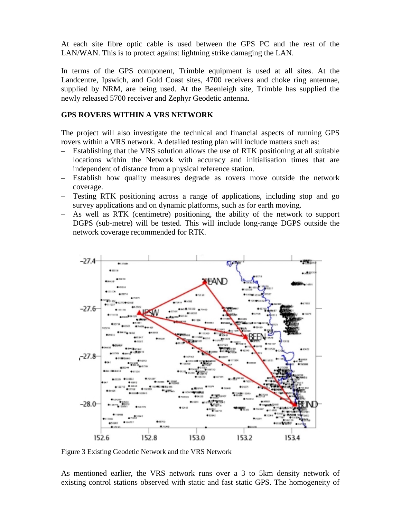At each site fibre optic cable is used between the GPS PC and the rest of the LAN/WAN. This is to protect against lightning strike damaging the LAN.

In terms of the GPS component, Trimble equipment is used at all sites. At the Landcentre, Ipswich, and Gold Coast sites, 4700 receivers and choke ring antennae, supplied by NRM, are being used. At the Beenleigh site, Trimble has supplied the newly released 5700 receiver and Zephyr Geodetic antenna.

#### **GPS ROVERS WITHIN A VRS NETWORK**

The project will also investigate the technical and financial aspects of running GPS rovers within a VRS network. A detailed testing plan will include matters such as:

- Establishing that the VRS solution allows the use of RTK positioning at all suitable locations within the Network with accuracy and initialisation times that are independent of distance from a physical reference station.
- Establish how quality measures degrade as rovers move outside the network coverage.
- Testing RTK positioning across a range of applications, including stop and go survey applications and on dynamic platforms, such as for earth moving.
- As well as RTK (centimetre) positioning, the ability of the network to support DGPS (sub-metre) will be tested. This will include long-range DGPS outside the network coverage recommended for RTK.



Figure 3 Existing Geodetic Network and the VRS Network

As mentioned earlier, the VRS network runs over a 3 to 5km density network of existing control stations observed with static and fast static GPS. The homogeneity of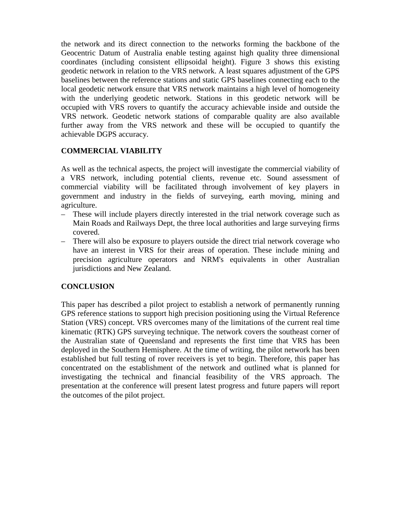the network and its direct connection to the networks forming the backbone of the Geocentric Datum of Australia enable testing against high quality three dimensional coordinates (including consistent ellipsoidal height). Figure 3 shows this existing geodetic network in relation to the VRS network. A least squares adjustment of the GPS baselines between the reference stations and static GPS baselines connecting each to the local geodetic network ensure that VRS network maintains a high level of homogeneity with the underlying geodetic network. Stations in this geodetic network will be occupied with VRS rovers to quantify the accuracy achievable inside and outside the VRS network. Geodetic network stations of comparable quality are also available further away from the VRS network and these will be occupied to quantify the achievable DGPS accuracy.

## **COMMERCIAL VIABILITY**

As well as the technical aspects, the project will investigate the commercial viability of a VRS network, including potential clients, revenue etc. Sound assessment of commercial viability will be facilitated through involvement of key players in government and industry in the fields of surveying, earth moving, mining and agriculture.

- These will include players directly interested in the trial network coverage such as Main Roads and Railways Dept, the three local authorities and large surveying firms covered.
- There will also be exposure to players outside the direct trial network coverage who have an interest in VRS for their areas of operation. These include mining and precision agriculture operators and NRM's equivalents in other Australian jurisdictions and New Zealand.

### **CONCLUSION**

This paper has described a pilot project to establish a network of permanently running GPS reference stations to support high precision positioning using the Virtual Reference Station (VRS) concept. VRS overcomes many of the limitations of the current real time kinematic (RTK) GPS surveying technique. The network covers the southeast corner of the Australian state of Queensland and represents the first time that VRS has been deployed in the Southern Hemisphere. At the time of writing, the pilot network has been established but full testing of rover receivers is yet to begin. Therefore, this paper has concentrated on the establishment of the network and outlined what is planned for investigating the technical and financial feasibility of the VRS approach. The presentation at the conference will present latest progress and future papers will report the outcomes of the pilot project.